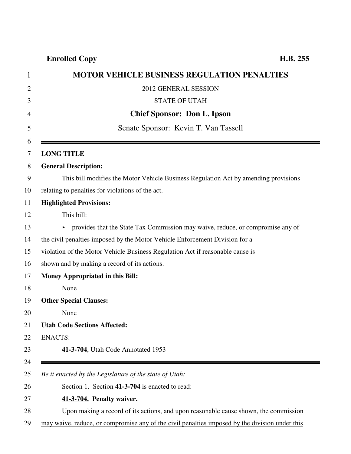**Enrolled Copy H.B. 255**

|                | <b>MOTOR VEHICLE BUSINESS REGULATION PENALTIES</b> |
|----------------|----------------------------------------------------|
| 2              | 2012 GENERAL SESSION                               |
| 3              | STATE OF UTAH                                      |
| $\overline{4}$ | <b>Chief Sponsor: Don L. Ipson</b>                 |

| 5        | Senate Sponsor: Kevin T. Van Tassell                                                           |
|----------|------------------------------------------------------------------------------------------------|
| 6<br>7   | <b>LONG TITLE</b>                                                                              |
| 8        | <b>General Description:</b>                                                                    |
| 9        | This bill modifies the Motor Vehicle Business Regulation Act by amending provisions            |
| 10       | relating to penalties for violations of the act.                                               |
| 11       | <b>Highlighted Provisions:</b>                                                                 |
| 12       | This bill:                                                                                     |
| 13       | provides that the State Tax Commission may waive, reduce, or compromise any of<br>Þ.           |
| 14       | the civil penalties imposed by the Motor Vehicle Enforcement Division for a                    |
| 15       | violation of the Motor Vehicle Business Regulation Act if reasonable cause is                  |
| 16       | shown and by making a record of its actions.                                                   |
| 17       | <b>Money Appropriated in this Bill:</b>                                                        |
| 18       | None                                                                                           |
| 19       | <b>Other Special Clauses:</b>                                                                  |
| 20       | None                                                                                           |
| 21       | <b>Utah Code Sections Affected:</b>                                                            |
| 22       | <b>ENACTS:</b>                                                                                 |
| 23       | 41-3-704, Utah Code Annotated 1953                                                             |
| 24<br>25 | Be it enacted by the Legislature of the state of Utah:                                         |
| 26       | Section 1. Section 41-3-704 is enacted to read:                                                |
| 27       |                                                                                                |
| 28       | 41-3-704. Penalty waiver.                                                                      |
|          | Upon making a record of its actions, and upon reasonable cause shown, the commission           |
| 29       | may waive, reduce, or compromise any of the civil penalties imposed by the division under this |